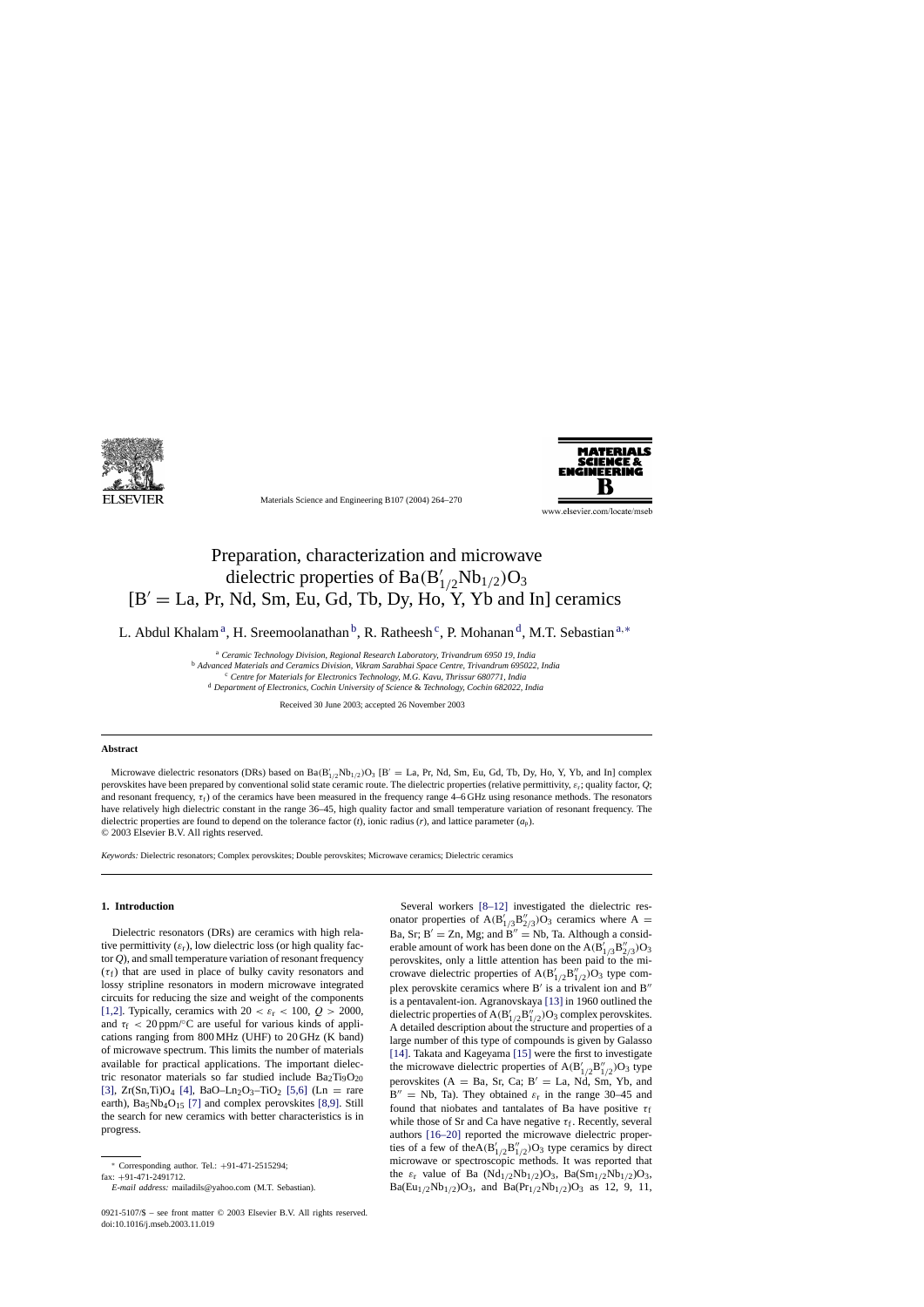

Materials Science and Engineering B107 (2004) 264–270



www.elsevier.com/locate/mseb

# Preparation, characterization and microwave dielectric properties of Ba(B'<sub>1/2</sub>Nb<sub>1/2</sub>)O<sub>3</sub>  $[B' = La, Pr, Nd, Sm, Eu, Gd, Tb, Dy, Ho, Y, Yb, and In] \text{ deramics}$

L. Abdul Khalam<sup>a</sup>, H. Sreemoolanathan <sup>b</sup>, R. Ratheesh<sup>c</sup>, P. Mohanan<sup>d</sup>, M.T. Sebastian<sup>a,∗</sup>

<sup>a</sup> *Ceramic Technology Division, Regional Research Laboratory, Trivandrum 6950 19, India* <sup>b</sup> *Advanced Materials and Ceramics Division, Vikram Sarabhai Space Centre, Trivandrum 695022, India* <sup>c</sup> *Centre for Materials for Electronics Technology, M.G. Kavu, Thrissur 680771, India*

<sup>d</sup> *Department of Electronics, Cochin University of Science* & *Technology, Cochin 682022, India*

Received 30 June 2003; accepted 26 November 2003

#### **Abstract**

Microwave dielectric resonators (DRs) based on  $Ba(B'_{1/2}Nb_{1/2})O_3$  [B' = La, Pr, Nd, Sm, Eu, Gd, Tb, Dy, Ho, Y, Yb, and In] complex perovskites have been prepared by conventional solid state ceramic route. The dielectric properties (relative permittivity,  $\varepsilon_r$ ; quality factor,  $Q$ ; and resonant frequency,  $\tau_f$ ) of the ceramics have been measured in the frequency range 4–6 GHz using resonance methods. The resonators have relatively high dielectric constant in the range 36–45, high quality factor and small temperature variation of resonant frequency. The dielectric properties are found to depend on the tolerance factor (*t*), ionic radius (*r*), and lattice parameter (*a*p). © 2003 Elsevier B.V. All rights reserved.

*Keywords:* Dielectric resonators; Complex perovskites; Double perovskites; Microwave ceramics; Dielectric ceramics

#### **1. Introduction**

Dielectric resonators (DRs) are ceramics with high relative permittivity  $(\varepsilon_r)$ , low dielectric loss (or high quality factor *Q*), and small temperature variation of resonant frequency  $(\tau_f)$  that are used in place of bulky cavity resonators and lossy stripline resonators in modern microwave integrated circuits for reducing the size and weight of the components [\[1,2\].](#page-5-0) Typically, ceramics with  $20 < \varepsilon_r < 100$ ,  $Q > 2000$ , and  $\tau_f$  < 20 ppm/ $\degree$ C are useful for various kinds of applications ranging from 800 MHz (UHF) to 20 GHz (K band) of microwave spectrum. This limits the number of materials available for practical applications. The important dielectric resonator materials so far studied include  $Ba<sub>2</sub>Ti<sub>9</sub>O<sub>20</sub>$ [\[3\],](#page-5-0)  $Zr(Sn,Ti)O_4$  [\[4\],](#page-5-0)  $BaO-Ln_2O_3-TiO_2$  [\[5,6\]](#page-5-0) (Ln = rare earth),  $Ba_5Nb_4O_{15}$  [\[7\]](#page-5-0) and complex perovskites [\[8,9\].](#page-5-0) Still the search for new ceramics with better characteristics is in progress.

Several workers [\[8–12\]](#page-5-0) investigated the dielectric resonator properties of  $A(B'_{1/3}B''_{2/3})O_3$  ceramics where  $A =$ Ba, Sr;  $B' = Zn$ , Mg; and  $B'' = Nb$ , Ta. Although a considerable amount of work has been done on the  $\rm{A(B'_{1/3}B''_{2/3})O_3}$ perovskites, only a little attention has been paid to the microwave dielectric properties of  $A(B'_{1/2}B''_{1/2})O_3$  type complex perovskite ceramics where  $B'$  is a trivalent ion and  $B''$ is a pentavalent-ion. Agranovskaya [\[13\]](#page-5-0) in 1960 outlined the dielectric properties of A( $B_{1/2}'B_{1/2}''$ )O<sub>3</sub> complex perovskites. A detailed description about the structure and properties of a large number of this type of compounds is given by Galasso [\[14\].](#page-5-0) Takata and Kageyama [\[15\]](#page-5-0) were the first to investigate the microwave dielectric properties of  $A(B'_{1/2}B''_{1/2})O_3$  type perovskites ( $A = Ba$ , Sr, Ca; B' = La, Nd, Sm, Yb, and  $B'' = Nb$ , Ta). They obtained  $\varepsilon_r$  in the range 30–45 and found that niobates and tantalates of Ba have positive  $\tau_f$ while those of Sr and Ca have negative  $\tau_f$ . Recently, several authors [\[16–20\]](#page-5-0) reported the microwave dielectric properties of a few of the $A(B'_{1/2}B''_{1/2})O_3$  type ceramics by direct microwave or spectroscopic methods. It was reported that the  $\varepsilon_r$  value of Ba (Nd<sub>1/2</sub>Nb<sub>1/2</sub>)O<sub>3</sub>, Ba(Sm<sub>1/2</sub>Nb<sub>1/2</sub>)O<sub>3</sub>,  $Ba(Eu_{1/2}Nb_{1/2})O_3$ , and  $Ba(Pr_{1/2}Nb_{1/2})O_3$  as 12, 9, 11,

<sup>∗</sup> Corresponding author. Tel.: +91-471-2515294;

fax: +91-471-2491712.

*E-mail address:* mailadils@yahoo.com (M.T. Sebastian).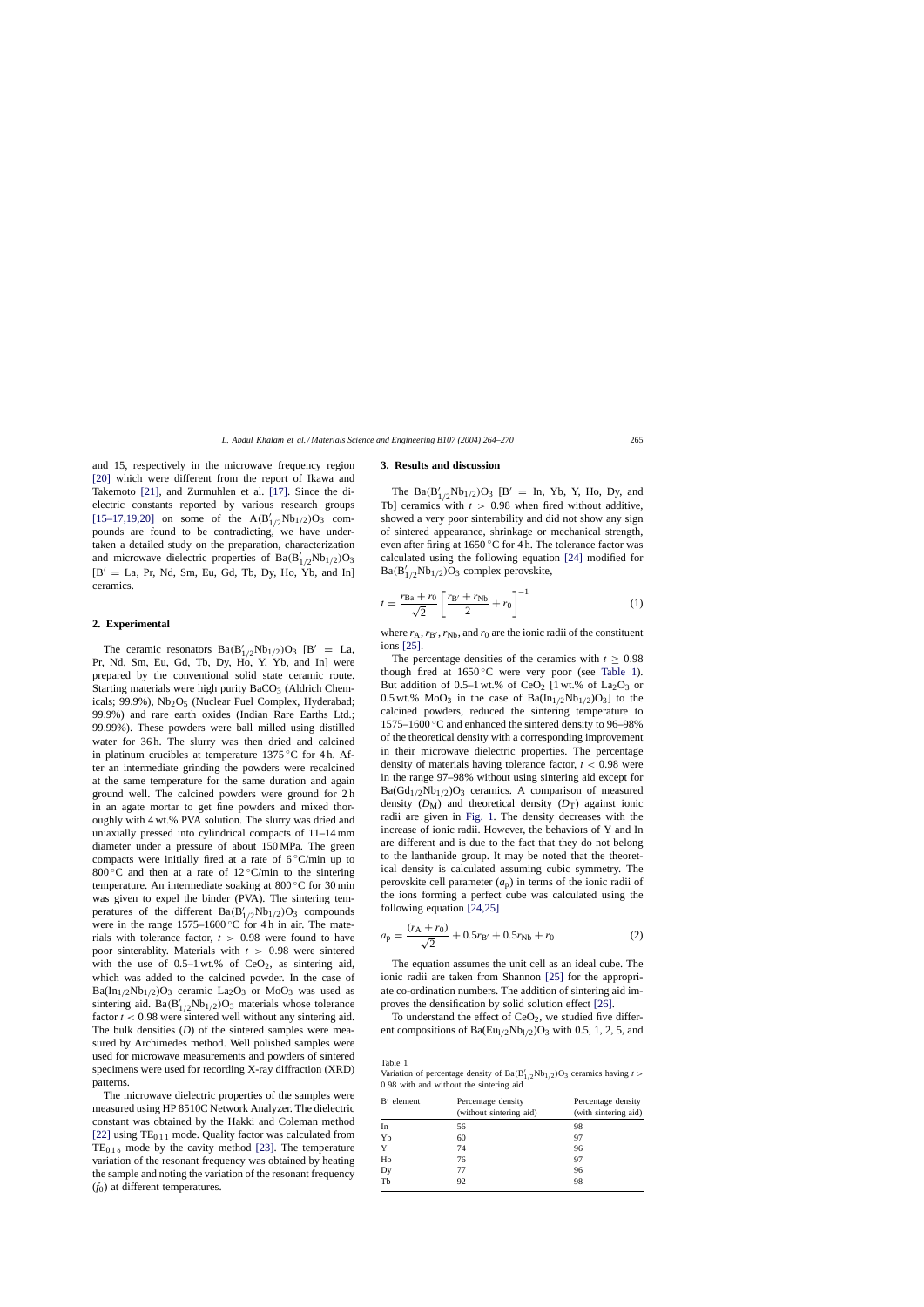*L. Abdul Khalam et al. / Materials Science and Engineering B107 (2004) 264–270* 265

<span id="page-1-0"></span>and 15, respectively in the microwave frequency region [\[20\]](#page-5-0) which were different from the report of Ikawa and Takemoto [\[21\],](#page-5-0) and Zurmuhlen et al. [\[17\].](#page-5-0) Since the dielectric constants reported by various research groups [\[15–17,19,20\]](#page-5-0) on some of the  $A(B'_{1/2}Nb_{1/2})O_3$  compounds are found to be contradicting, we have undertaken a detailed study on the preparation, characterization and microwave dielectric properties of  $Ba(B'_{1/2}Nb_{1/2})O_3$  $[B' = La, Pr, Nd, Sm, Eu, Gd, Tb, Dy, Ho, Yb, and In]$ ceramics.

## **2. Experimental**

The ceramic resonators  $Ba(B'_{1/2}Nb_{1/2})O_3$  [B' = La, Pr, Nd, Sm, Eu, Gd, Tb, Dy, Ho, Y, Yb, and In] were prepared by the conventional solid state ceramic route. Starting materials were high purity  $BaCO<sub>3</sub>$  (Aldrich Chemicals; 99.9%),  $Nb<sub>2</sub>O<sub>5</sub>$  (Nuclear Fuel Complex, Hyderabad; 99.9%) and rare earth oxides (Indian Rare Earths Ltd.; 99.99%). These powders were ball milled using distilled water for 36 h. The slurry was then dried and calcined in platinum crucibles at temperature 1375 °C for 4 h. After an intermediate grinding the powders were recalcined at the same temperature for the same duration and again ground well. The calcined powders were ground for 2 h in an agate mortar to get fine powders and mixed thoroughly with 4 wt.% PVA solution. The slurry was dried and uniaxially pressed into cylindrical compacts of 11–14 mm diameter under a pressure of about 150 MPa. The green compacts were initially fired at a rate of  $6^{\circ}$ C/min up to 800 °C and then at a rate of  $12$  °C/min to the sintering temperature. An intermediate soaking at 800 ◦C for 30 min was given to expel the binder (PVA). The sintering temperatures of the different  $Ba(B'_{1/2}Nb_{1/2})O_3$  compounds were in the range  $1575-1600\degree C$  for 4 h in air. The materials with tolerance factor,  $t > 0.98$  were found to have poor sinterablity. Materials with  $t > 0.98$  were sintered with the use of  $0.5-1$  wt.% of  $CeO<sub>2</sub>$ , as sintering aid, which was added to the calcined powder. In the case of  $Ba(In_{1/2}Nb_{1/2})O_3$  ceramic  $La_2O_3$  or  $MoO_3$  was used as sintering aid.  $Ba(B'_{1/2}Nb_{1/2})O_3$  materials whose tolerance factor  $t < 0.98$  were sintered well without any sintering aid. The bulk densities (*D*) of the sintered samples were measured by Archimedes method. Well polished samples were used for microwave measurements and powders of sintered specimens were used for recording X-ray diffraction (XRD) patterns.

The microwave dielectric properties of the samples were measured using HP 8510C Network Analyzer. The dielectric constant was obtained by the Hakki and Coleman method [\[22\]](#page-6-0) using  $TE_{011}$  mode. Quality factor was calculated from  $TE_{01\delta}$  mode by the cavity method [\[23\].](#page-6-0) The temperature variation of the resonant frequency was obtained by heating the sample and noting the variation of the resonant frequency (*f*0) at different temperatures.

#### **3. Results and discussion**

The  $Ba(B'_{1/2}Nb_{1/2})O_3$  [B' = In, Yb, Y, Ho, Dy, and Tb] ceramics with  $t > 0.98$  when fired without additive, showed a very poor sinterability and did not show any sign of sintered appearance, shrinkage or mechanical strength, even after firing at  $1650^{\circ}$ C for 4 h. The tolerance factor was calculated using the following equation [\[24\]](#page-6-0) modified for  $Ba(B'_{1/2}Nb_{1/2})O_3$  complex perovskite,

$$
t = \frac{r_{\text{Ba}} + r_0}{\sqrt{2}} \left[ \frac{r_{\text{B'}} + r_{\text{Nb}}}{2} + r_0 \right]^{-1} \tag{1}
$$

where  $r_A$ ,  $r_{B'}$ ,  $r_{Nb}$ , and  $r_0$  are the ionic radii of the constituent ions [\[25\].](#page-6-0)

The percentage densities of the ceramics with  $t > 0.98$ though fired at  $1650\degree$ C were very poor (see Table 1). But addition of 0.5–1 wt.% of CeO<sub>2</sub> [1 wt.% of La<sub>2</sub>O<sub>3</sub> or 0.5 wt.% MoO<sub>3</sub> in the case of  $Ba(In_{1/2}Nb_{1/2})O_3$ ] to the calcined powders, reduced the sintering temperature to 1575–1600 ◦C and enhanced the sintered density to 96–98% of the theoretical density with a corresponding improvement in their microwave dielectric properties. The percentage density of materials having tolerance factor,  $t < 0.98$  were in the range 97–98% without using sintering aid except for  $Ba(Gd_{1/2}Nb_{1/2})O_3$  ceramics. A comparison of measured density  $(D_M)$  and theoretical density  $(D_T)$  against ionic radii are given in [Fig. 1.](#page-2-0) The density decreases with the increase of ionic radii. However, the behaviors of Y and In are different and is due to the fact that they do not belong to the lanthanide group. It may be noted that the theoretical density is calculated assuming cubic symmetry. The perovskite cell parameter  $(a_p)$  in terms of the ionic radii of the ions forming a perfect cube was calculated using the following equation [\[24,25\]](#page-6-0)

$$
a_{\rm p} = \frac{(r_{\rm A} + r_0)}{\sqrt{2}} + 0.5r_{\rm B'} + 0.5r_{\rm Nb} + r_0
$$
 (2)

The equation assumes the unit cell as an ideal cube. The ionic radii are taken from Shannon [\[25\]](#page-6-0) for the appropriate co-ordination numbers. The addition of sintering aid improves the densification by solid solution effect [\[26\].](#page-6-0)

To understand the effect of  $CeO<sub>2</sub>$ , we studied five different compositions of Ba(Eu<sub>l/2</sub>Nb<sub>l/2</sub>)O<sub>3</sub> with 0.5, 1, 2, 5, and

Table 1

Variation of percentage density of  $Ba(B'_{1/2}Nb_{1/2})O_3$  ceramics having  $t >$ 0.98 with and without the sintering aid

| $B'$ element | Percentage density<br>(without sintering aid) | Percentage density<br>(with sintering aid) |  |  |  |
|--------------|-----------------------------------------------|--------------------------------------------|--|--|--|
| In           | 56                                            | 98                                         |  |  |  |
| Yb           | 60                                            | 97                                         |  |  |  |
| Y            | 74                                            | 96                                         |  |  |  |
| Ho           | 76                                            | 97                                         |  |  |  |
| Dy           | 77                                            | 96                                         |  |  |  |
| Tb           | 92                                            | 98                                         |  |  |  |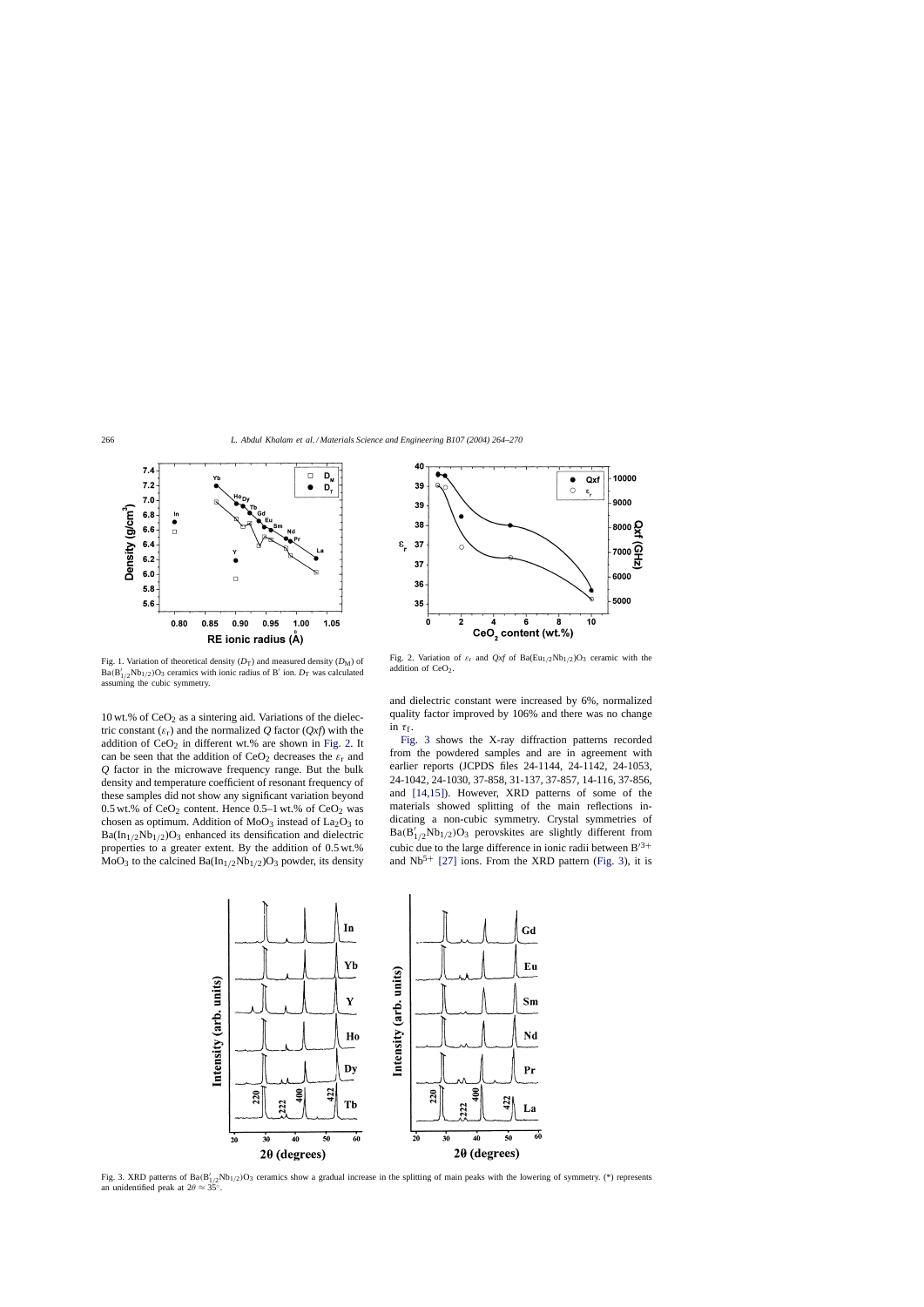<span id="page-2-0"></span>

Fig. 1. Variation of theoretical density  $(D_T)$  and measured density  $(D_M)$  of  $Ba(B'_{1/2}Nb_{1/2})O_3$  ceramics with ionic radius of B' ion.  $D_T$  was calculated assuming the cubic symmetry.

10 wt.% of  $CeO<sub>2</sub>$  as a sintering aid. Variations of the dielectric constant  $(\varepsilon_r)$  and the normalized Q factor  $(Qxf)$  with the addition of  $CeO<sub>2</sub>$  in different wt.% are shown in Fig. 2. It can be seen that the addition of  $CeO<sub>2</sub>$  decreases the  $\varepsilon<sub>r</sub>$  and *Q* factor in the microwave frequency range. But the bulk density and temperature coefficient of resonant frequency of these samples did not show any significant variation beyond 0.5 wt.% of  $CeO<sub>2</sub>$  content. Hence 0.5–1 wt.% of  $CeO<sub>2</sub>$  was chosen as optimum. Addition of  $MoO<sub>3</sub>$  instead of  $La<sub>2</sub>O<sub>3</sub>$  to  $Ba(In_{1/2}Nb_{1/2})O_3$  enhanced its densification and dielectric properties to a greater extent. By the addition of 0.5 wt.%  $MoO<sub>3</sub>$  to the calcined  $Ba(In<sub>1/2</sub>Nb<sub>1/2</sub>)O<sub>3</sub>$  powder, its density



Fig. 2. Variation of  $\varepsilon_r$  and  $Qxf$  of Ba(Eu<sub>1/2</sub>Nb<sub>1/2</sub>)O<sub>3</sub> ceramic with the addition of CeO<sub>2</sub>.

and dielectric constant were increased by 6%, normalized quality factor improved by 106% and there was no change in  $\tau_f$ .

Fig. 3 shows the X-ray diffraction patterns recorded from the powdered samples and are in agreement with earlier reports (JCPDS files 24-1144, 24-1142, 24-1053, 24-1042, 24-1030, 37-858, 31-137, 37-857, 14-116, 37-856, and [\[14,15\]\).](#page-5-0) However, XRD patterns of some of the materials showed splitting of the main reflections indicating a non-cubic symmetry. Crystal symmetries of  $Ba(B'_{1/2}Nb_{1/2})O_3$  perovskites are slightly different from cubic due to the large difference in ionic radii between  $B^{3+}$ and  $Nb<sup>5+</sup>$  [\[27\]](#page-6-0) ions. From the XRD pattern (Fig. 3), it is



Fig. 3. XRD patterns of  $Ba(B'_{1/2}Nb_{1/2})O_3$  ceramics show a gradual increase in the splitting of main peaks with the lowering of symmetry. (\*) represents an unidentified peak at  $2\theta \approx 35^\circ$ .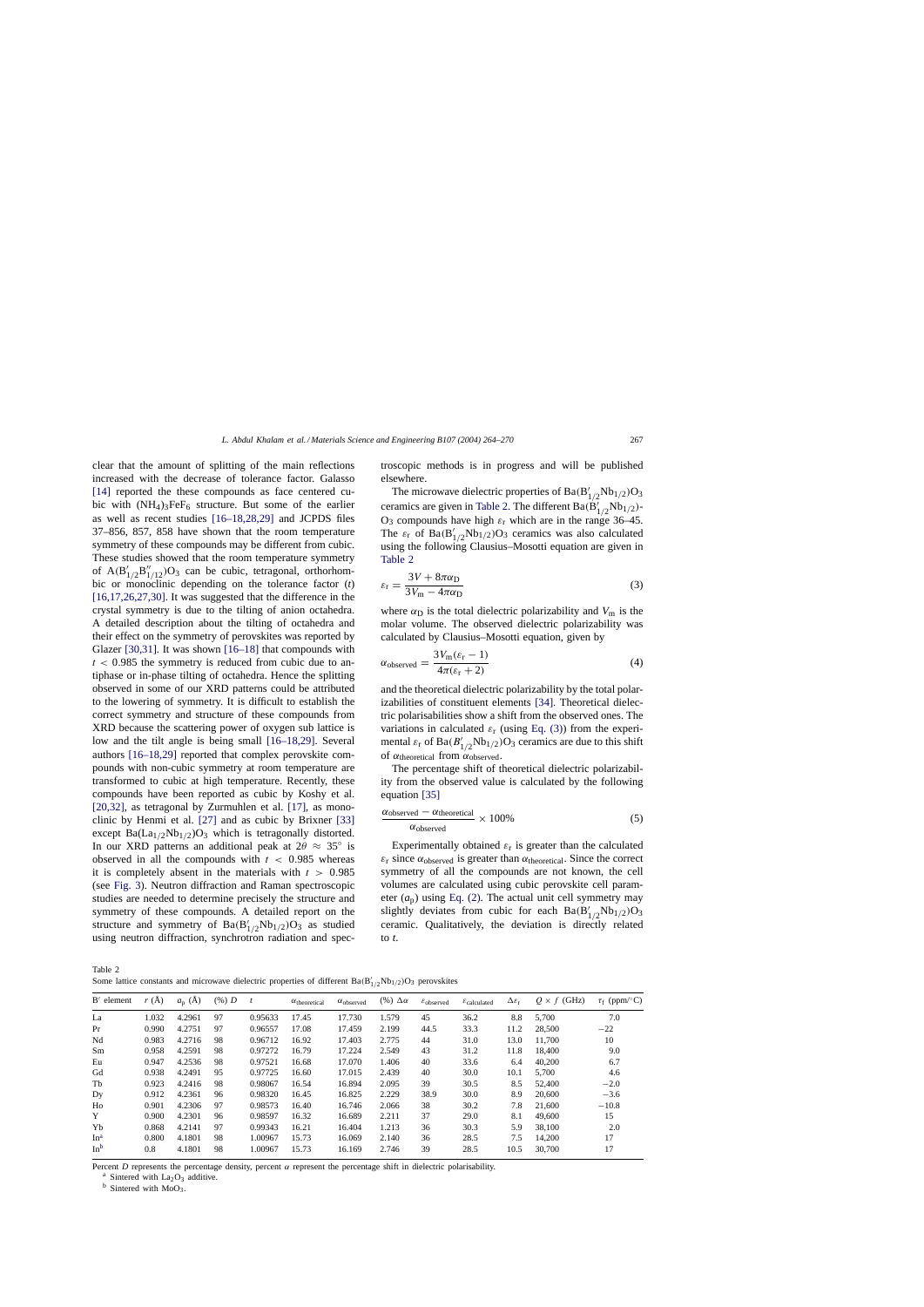<span id="page-3-0"></span>clear that the amount of splitting of the main reflections increased with the decrease of tolerance factor. Galasso [\[14\]](#page-5-0) reported the these compounds as face centered cubic with  $(NH_4)_3FeF_6$  structure. But some of the earlier as well as recent studies [\[16–18,28,29\]](#page-5-0) and JCPDS files 37–856, 857, 858 have shown that the room temperature symmetry of these compounds may be different from cubic. These studies showed that the room temperature symmetry of  $A(B'_{1/2}B''_{1/12})O_3$  can be cubic, tetragonal, orthorhombic or monoclinic depending on the tolerance factor (*t*) [\[16,17,26,27,30\].](#page-5-0) It was suggested that the difference in the crystal symmetry is due to the tilting of anion octahedra. A detailed description about the tilting of octahedra and their effect on the symmetry of perovskites was reported by Glazer [\[30,31\].](#page-6-0) It was shown [\[16–18\]](#page-5-0) that compounds with  $t < 0.985$  the symmetry is reduced from cubic due to antiphase or in-phase tilting of octahedra. Hence the splitting observed in some of our XRD patterns could be attributed to the lowering of symmetry. It is difficult to establish the correct symmetry and structure of these compounds from XRD because the scattering power of oxygen sub lattice is low and the tilt angle is being small [\[16–18,29\].](#page-5-0) Several authors [\[16–18,29\]](#page-5-0) reported that complex perovskite compounds with non-cubic symmetry at room temperature are transformed to cubic at high temperature. Recently, these compounds have been reported as cubic by Koshy et al. [\[20,32\],](#page-5-0) as tetragonal by Zurmuhlen et al. [\[17\],](#page-5-0) as monoclinic by Henmi et al. [\[27\]](#page-6-0) and as cubic by Brixner [\[33\]](#page-6-0) except  $Ba(La_{1/2}Nb_{1/2})O_3$  which is tetragonally distorted. In our XRD patterns an additional peak at  $2\theta \approx 35^\circ$  is observed in all the compounds with  $t < 0.985$  whereas it is completely absent in the materials with  $t > 0.985$ (see [Fig. 3\).](#page-2-0) Neutron diffraction and Raman spectroscopic studies are needed to determine precisely the structure and symmetry of these compounds. A detailed report on the structure and symmetry of  $Ba(B'_{1/2}Nb_{1/2})O_3$  as studied using neutron diffraction, synchrotron radiation and spectroscopic methods is in progress and will be published elsewhere.

The microwave dielectric properties of  $Ba(B'_{1/2}Nb_{1/2})O_3$ ceramics are given in Table 2. The different  $Ba(B'_{1/2}Nb_{1/2})$ - $O_3$  compounds have high  $\varepsilon_r$  which are in the range 36–45. The  $\varepsilon_{\rm r}$  of Ba(B<sup>'</sup><sub>1/2</sub>Nb<sub>1/2</sub>)O<sub>3</sub> ceramics was also calculated using the following Clausius–Mosotti equation are given in Table 2

$$
\varepsilon_{\rm r} = \frac{3V + 8\pi\alpha_{\rm D}}{3V_{\rm m} - 4\pi\alpha_{\rm D}}\tag{3}
$$

where  $\alpha_D$  is the total dielectric polarizability and  $V_m$  is the molar volume. The observed dielectric polarizability was calculated by Clausius–Mosotti equation, given by

$$
\alpha_{\text{observed}} = \frac{3V_{\text{m}}(\varepsilon_{\text{r}} - 1)}{4\pi(\varepsilon_{\text{r}} + 2)}\tag{4}
$$

and the theoretical dielectric polarizability by the total polarizabilities of constituent elements [\[34\].](#page-6-0) Theoretical dielectric polarisabilities show a shift from the observed ones. The variations in calculated  $\varepsilon_{r}$  (using Eq. (3)) from the experimental  $\varepsilon_{\rm r}$  of Ba $(B'_{1/2}Nb_{1/2})O_3$  ceramics are due to this shift of  $\alpha_{\text{theoretical}}$  from  $\alpha_{\text{observed}}$ .

The percentage shift of theoretical dielectric polarizability from the observed value is calculated by the following equation [\[35\]](#page-6-0)

$$
\frac{\alpha_{\text{observed}} - \alpha_{\text{theoretical}}}{\alpha_{\text{observed}}} \times 100\%
$$
 (5)

Experimentally obtained  $\varepsilon_r$  is greater than the calculated  $\varepsilon_r$  since  $\alpha_{\text{observed}}$  is greater than  $\alpha_{\text{theoretical}}$ . Since the correct symmetry of all the compounds are not known, the cell volumes are calculated using cubic perovskite cell parameter  $(a<sub>p</sub>)$  using [Eq. \(2\).](#page-1-0) The actual unit cell symmetry may slightly deviates from cubic for each  $Ba(B'_{1/2}Nb_{1/2})O_3$ ceramic. Qualitatively, the deviation is directly related to *t*.

Table 2

Some lattice constants and microwave dielectric properties of different  $Ba(B'_{1/2}Nb_{1/2})O_3$  perovskites

| $B'$ element    | r(A)  | $a_{p}$ (Å) | $(%)$ D |         | $\alpha$ <sub>theoretical</sub> | $\alpha_{\text{observed}}$ | $(\%)$ $\Delta \alpha$ | $\varepsilon$ <sub>observed</sub> | $\mathcal{E}_{calculated}$ | $\Delta \varepsilon_{\rm r}$ | $Q \times f$ (GHz) | $\tau_f$ (ppm/°C) |
|-----------------|-------|-------------|---------|---------|---------------------------------|----------------------------|------------------------|-----------------------------------|----------------------------|------------------------------|--------------------|-------------------|
| La              | 1.032 | 4.2961      | 97      | 0.95633 | 17.45                           | 17.730                     | 1.579                  | 45                                | 36.2                       | 8.8                          | 5,700              | 7.0               |
| Pr              | 0.990 | 4.2751      | 97      | 0.96557 | 17.08                           | 17.459                     | 2.199                  | 44.5                              | 33.3                       | 11.2                         | 28,500             | $-22$             |
| Nd              | 0.983 | 4.2716      | 98      | 0.96712 | 16.92                           | 17.403                     | 2.775                  | 44                                | 31.0                       | 13.0                         | 11.700             | 10                |
| Sm              | 0.958 | 4.2591      | 98      | 0.97272 | 16.79                           | 17.224                     | 2.549                  | 43                                | 31.2                       | 11.8                         | 18,400             | 9.0               |
| Eu              | 0.947 | 4.2536      | 98      | 0.97521 | 16.68                           | 17.070                     | 1.406                  | 40                                | 33.6                       | 6.4                          | 40,200             | 6.7               |
| Gd              | 0.938 | 4.2491      | 95      | 0.97725 | 16.60                           | 17.015                     | 2.439                  | 40                                | 30.0                       | 10.1                         | 5.700              | 4.6               |
| Tb              | 0.923 | 4.2416      | 98      | 0.98067 | 16.54                           | 16.894                     | 2.095                  | 39                                | 30.5                       | 8.5                          | 52,400             | $-2.0$            |
| Dy              | 0.912 | 4.2361      | 96      | 0.98320 | 16.45                           | 16.825                     | 2.229                  | 38.9                              | 30.0                       | 8.9                          | 20,600             | $-3.6$            |
| Ho              | 0.901 | 4.2306      | 97      | 0.98573 | 16.40                           | 16.746                     | 2.066                  | 38                                | 30.2                       | 7.8                          | 21,600             | $-10.8$           |
| Y               | 0.900 | 4.2301      | 96      | 0.98597 | 16.32                           | 16.689                     | 2.211                  | 37                                | 29.0                       | 8.1                          | 49,600             | 15                |
| Yb              | 0.868 | 4.2141      | 97      | 0.99343 | 16.21                           | 16.404                     | 1.213                  | 36                                | 30.3                       | 5.9                          | 38,100             | 2.0               |
| In <sup>a</sup> | 0.800 | 4.1801      | 98      | 1.00967 | 15.73                           | 16.069                     | 2.140                  | 36                                | 28.5                       | 7.5                          | 14,200             | 17                |
| $In^b$          | 0.8   | 4.1801      | 98      | 1.00967 | 15.73                           | 16.169                     | 2.746                  | 39                                | 28.5                       | 10.5                         | 30,700             | 17                |

Percent *D* represents the percentage density, percent  $\alpha$  represent the percentage shift in dielectric polarisability.

<sup>a</sup> Sintered with La<sub>2</sub>O<sub>3</sub> additive.<br><sup>b</sup> Sintered with MoO<sub>3</sub>.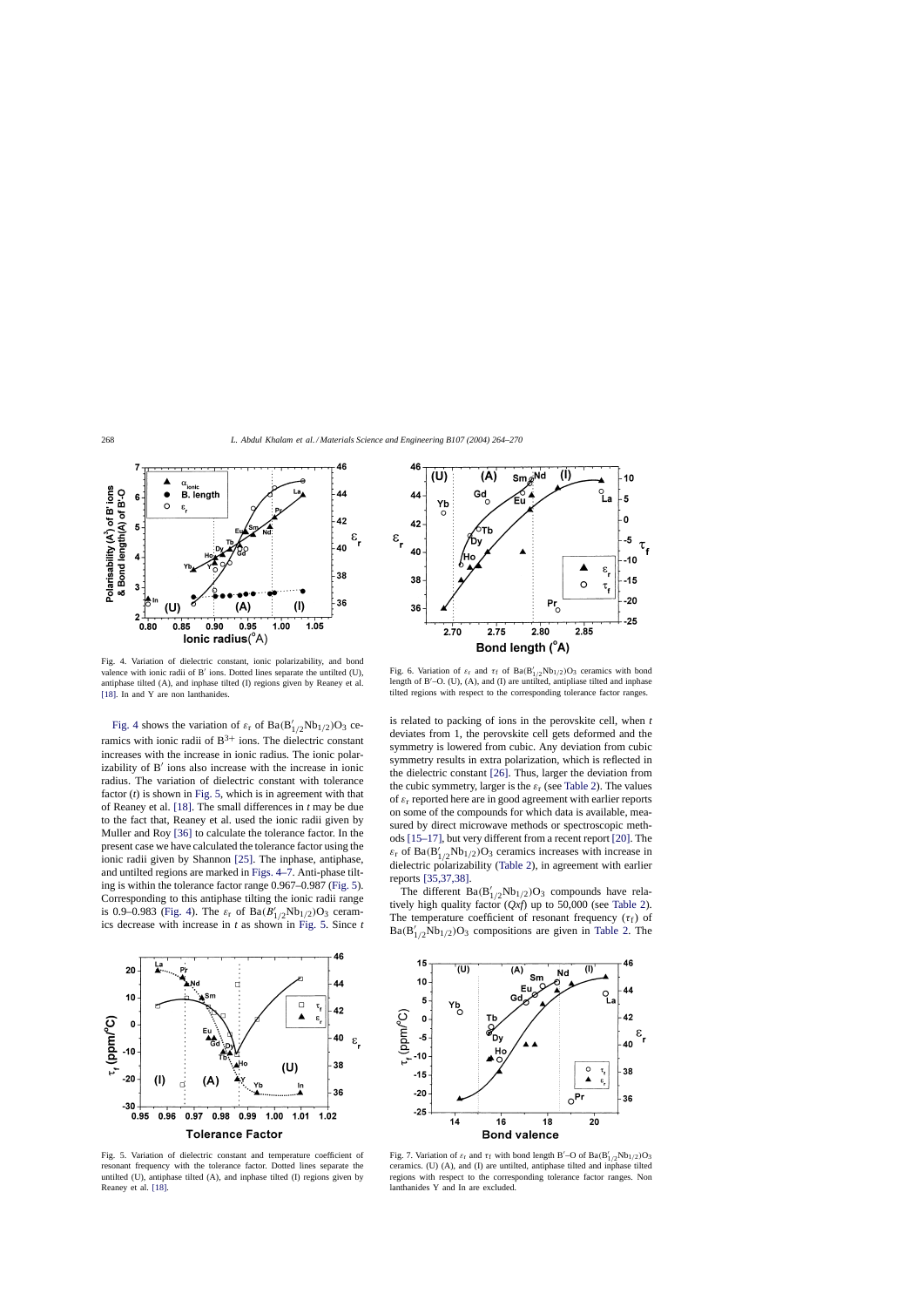<span id="page-4-0"></span>

Fig. 4. Variation of dielectric constant, ionic polarizability, and bond valence with ionic radii of  $B'$  ions. Dotted lines separate the untilted (U), antiphase tilted (A), and inphase tilted (I) regions given by Reaney et al. [\[18\]. I](#page-5-0)n and Y are non lanthanides.

Fig. 4 shows the variation of  $\varepsilon_{r}$  of  $Ba(B'_{1/2}Nb_{1/2})O_3$  ceramics with ionic radii of  $B^{3+}$  ions. The dielectric constant increases with the increase in ionic radius. The ionic polarizability of  $B'$  ions also increase with the increase in ionic radius. The variation of dielectric constant with tolerance factor (*t*) is shown in Fig. 5, which is in agreement with that of Reaney et al. [\[18\].](#page-5-0) The small differences in *t* may be due to the fact that, Reaney et al. used the ionic radii given by Muller and Roy [\[36\]](#page-6-0) to calculate the tolerance factor. In the present case we have calculated the tolerance factor using the ionic radii given by Shannon [\[25\].](#page-6-0) The inphase, antiphase, and untilted regions are marked in Figs. 4–7. Anti-phase tilting is within the tolerance factor range 0.967–0.987 (Fig. 5). Corresponding to this antiphase tilting the ionic radii range is 0.9–0.983 (Fig. 4). The  $\varepsilon_{\rm r}$  of  ${\rm Ba}(B'_{1/2}Nb_{1/2}){\rm O}_3$  ceramics decrease with increase in *t* as shown in Fig. 5. Since *t*



Fig. 5. Variation of dielectric constant and temperature coefficient of resonant frequency with the tolerance factor. Dotted lines separate the untilted (U), antiphase tilted (A), and inphase tilted (I) regions given by Reaney et al. [\[18\].](#page-5-0)



Fig. 6. Variation of  $\varepsilon_r$  and  $\tau_f$  of Ba(B'<sub>1/2</sub>Nb<sub>1/2</sub>)O<sub>3</sub> ceramics with bond length of B –O. (U), (A), and (I) are untilted, antipliase tilted and inphase tilted regions with respect to the corresponding tolerance factor ranges.

is related to packing of ions in the perovskite cell, when *t* deviates from 1, the perovskite cell gets deformed and the symmetry is lowered from cubic. Any deviation from cubic symmetry results in extra polarization, which is reflected in the dielectric constant [\[26\].](#page-6-0) Thus, larger the deviation from the cubic symmetry, larger is the  $\varepsilon_r$  (see [Table 2\).](#page-3-0) The values of  $\varepsilon_r$  reported here are in good agreement with earlier reports on some of the compounds for which data is available, measured by direct microwave methods or spectroscopic methods [\[15–17\], b](#page-5-0)ut very different from a recent report [\[20\]. T](#page-5-0)he  $\varepsilon_{\rm r}$  of Ba(B<sup>'</sup><sub>1/2</sub>Nb<sub>1/2</sub>)O<sub>3</sub> ceramics increases with increase in dielectric polarizability ([Table 2\),](#page-3-0) in agreement with earlier reports [\[35,37,38\].](#page-6-0)

The different  $Ba(B'_{1/2}Nb_{1/2})O_3$  compounds have relatively high quality factor (*Qxf*) up to 50,000 (see [Table 2\).](#page-3-0) The temperature coefficient of resonant frequency  $(\tau_f)$  of  $Ba(B'_{1/2}Nb_{1/2})O_3$  compositions are given in [Table 2.](#page-3-0) The



Fig. 7. Variation of  $\varepsilon_r$  and  $\tau_f$  with bond length B'–O of Ba $(B'_{1/2}Nb_{1/2})O_3$ ceramics. (U) (A), and (I) are untilted, antiphase tilted and inphase tilted regions with respect to the corresponding tolerance factor ranges. Non lanthanides Y and In are excluded.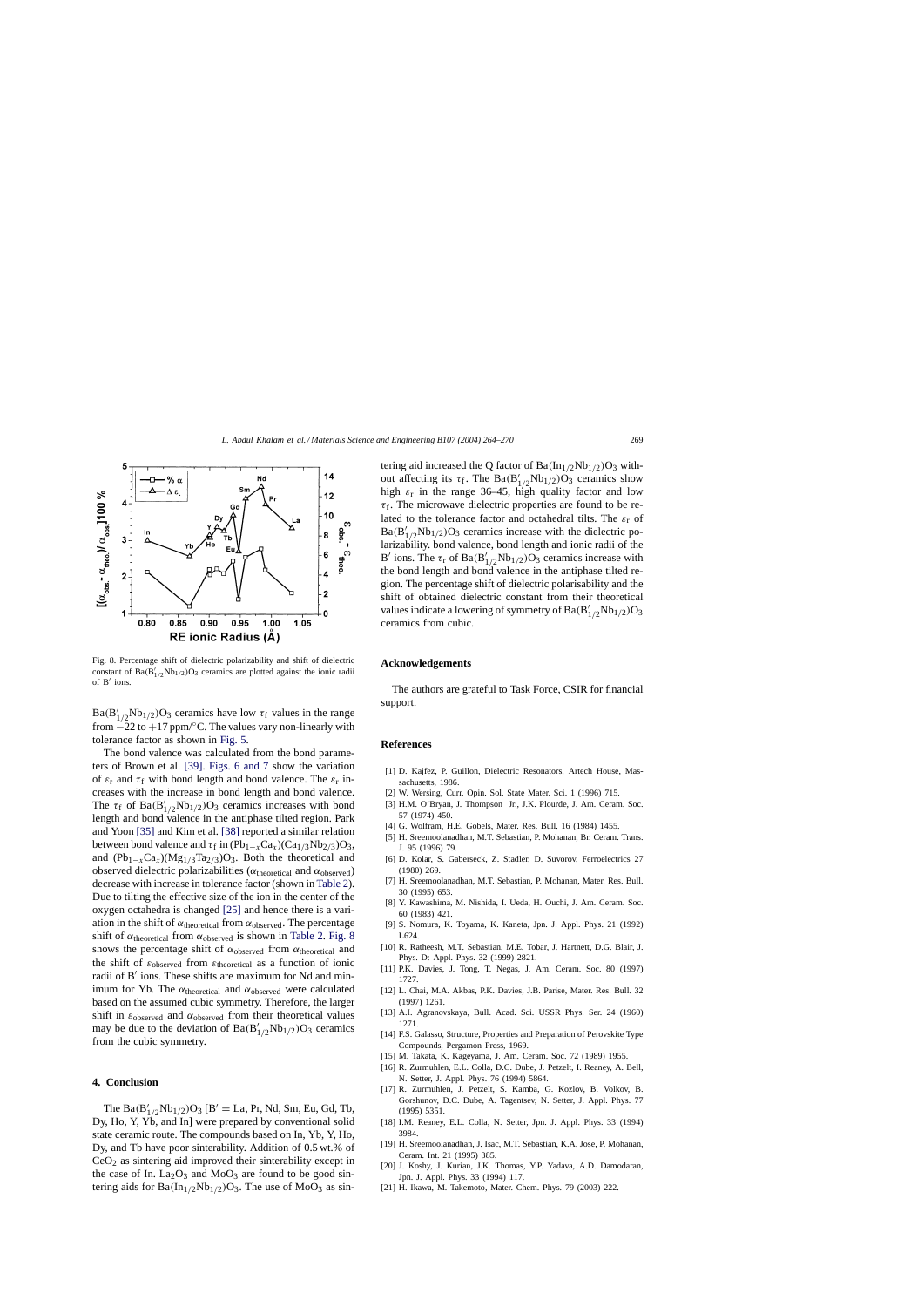<span id="page-5-0"></span>

Fig. 8. Percentage shift of dielectric polarizability and shift of dielectric constant of  $Ba(B'_{1/2}Nb_{1/2})O_3$  ceramics are plotted against the ionic radii of  $B'$  ions.

 $Ba(B'_{1/2}Nb_{1/2})O_3$  ceramics have low  $\tau_f$  values in the range from  $-22$  to +17 ppm/ $\degree$ C. The values vary non-linearly with tolerance factor as shown in [Fig. 5.](#page-4-0)

The bond valence was calculated from the bond parameters of Brown et al. [\[39\].](#page-6-0) [Figs. 6 and 7](#page-4-0) show the variation of  $\varepsilon_r$  and  $\tau_f$  with bond length and bond valence. The  $\varepsilon_r$  increases with the increase in bond length and bond valence. The  $\tau_f$  of Ba $(B'_{1/2}Nb_{1/2})O_3$  ceramics increases with bond length and bond valence in the antiphase tilted region. Park and Yoon [\[35\]](#page-6-0) and Kim et al. [\[38\]](#page-6-0) reported a similar relation between bond valence and  $\tau_f$  in (Pb<sub>1−x</sub>Ca<sub>x</sub>)(Ca<sub>1/3</sub>Nb<sub>2/3</sub>)O<sub>3</sub>, and  $(Pb_{1-x}Ca_x)(Mg_{1/3}Ta_{2/3})O_3$ . Both the theoretical and observed dielectric polarizabilities ( $α$ <sub>theoretical</sub> and  $α$ <sub>observed</sub>) decrease with increase in tolerance factor (shown in [Table 2\).](#page-3-0) Due to tilting the effective size of the ion in the center of the oxygen octahedra is changed [\[25\]](#page-6-0) and hence there is a variation in the shift of  $\alpha$ <sub>theoretical</sub> from  $\alpha$ <sub>observed</sub>. The percentage shift of  $\alpha$ <sub>theoretical</sub> from  $\alpha$ <sub>observed</sub> is shown in [Table 2.](#page-3-0) Fig. 8 shows the percentage shift of  $\alpha_{\text{observed}}$  from  $\alpha_{\text{theoretical}}$  and the shift of  $\varepsilon_{\text{observed}}$  from  $\varepsilon_{\text{theoretical}}$  as a function of ionic radii of B' ions. These shifts are maximum for Nd and minimum for Yb. The  $\alpha$ <sub>theoretical</sub> and  $\alpha$ <sub>observed</sub> were calculated based on the assumed cubic symmetry. Therefore, the larger shift in  $\varepsilon_{\text{observed}}$  and  $\alpha_{\text{observed}}$  from their theoretical values may be due to the deviation of  $Ba(B'_{1/2}Nb_{1/2})O_3$  ceramics from the cubic symmetry.

### **4. Conclusion**

The  $Ba(B'_{1/2}Nb_{1/2})O_3$  [B' = La, Pr, Nd, Sm, Eu, Gd, Tb, Dy, Ho, Y, Yb, and In] were prepared by conventional solid state ceramic route. The compounds based on In, Yb, Y, Ho, Dy, and Tb have poor sinterability. Addition of 0.5 wt.% of  $CeO<sub>2</sub>$  as sintering aid improved their sinterability except in the case of In.  $La_2O_3$  and  $MoO_3$  are found to be good sintering aids for  $Ba(In_{1/2}Nb_{1/2})O_3$ . The use of MoO<sub>3</sub> as sintering aid increased the Q factor of  $Ba(In_{1/2}Nb_{1/2})O_3$  without affecting its  $\tau_f$ . The Ba $(B'_{1/2}Nb_{1/2})O_3$  ceramics show high  $\varepsilon_r$  in the range 36–45, high quality factor and low  $\tau_f$ . The microwave dielectric properties are found to be related to the tolerance factor and octahedral tilts. The  $\varepsilon_r$  of  $Ba(B'_{1/2}Nb_{1/2})O_3$  ceramics increase with the dielectric polarizability. bond valence, bond length and ionic radii of the B' ions. The  $\tau_r$  of Ba(B'<sub>1/2</sub>Nb<sub>1/2</sub>)O<sub>3</sub> ceramics increase with the bond length and bond valence in the antiphase tilted region. The percentage shift of dielectric polarisability and the shift of obtained dielectric constant from their theoretical values indicate a lowering of symmetry of  $Ba(B'_{1/2}Nb_{1/2})O_3$ ceramics from cubic.

#### **Acknowledgements**

The authors are grateful to Task Force, CSIR for financial support.

#### **References**

- [1] D. Kajfez, P. Guillon, Dielectric Resonators, Artech House, Massachusetts, 1986.
- [2] W. Wersing, Curr. Opin. Sol. State Mater. Sci. 1 (1996) 715.
- [3] H.M. O'Bryan, J. Thompson Jr., J.K. Plourde, J. Am. Ceram. Soc. 57 (1974) 450.
- [4] G. Wolfram, H.E. Gobels, Mater. Res. Bull. 16 (1984) 1455.
- [5] H. Sreemoolanadhan, M.T. Sebastian, P. Mohanan, Br. Ceram. Trans. J. 95 (1996) 79.
- [6] D. Kolar, S. Gaberseck, Z. Stadler, D. Suvorov, Ferroelectrics 27 (1980) 269.
- [7] H. Sreemoolanadhan, M.T. Sebastian, P. Mohanan, Mater. Res. Bull. 30 (1995) 653.
- [8] Y. Kawashima, M. Nishida, I. Ueda, H. Ouchi, J. Am. Ceram. Soc. 60 (1983) 421.
- [9] S. Nomura, K. Toyama, K. Kaneta, Jpn. J. Appl. Phys. 21 (1992) L624.
- [10] R. Ratheesh, M.T. Sebastian, M.E. Tobar, J. Hartnett, D.G. Blair, J. Phys. D: Appl. Phys. 32 (1999) 2821.
- [11] P.K. Davies, J. Tong, T. Negas, J. Am. Ceram. Soc. 80 (1997) 1727.
- [12] L. Chai, M.A. Akbas, P.K. Davies, J.B. Parise, Mater. Res. Bull. 32 (1997) 1261.
- [13] A.I. Agranovskaya, Bull. Acad. Sci. USSR Phys. Ser. 24 (1960) 1271.
- [14] F.S. Galasso, Structure, Properties and Preparation of Perovskite Type Compounds, Pergamon Press, 1969.
- [15] M. Takata, K. Kageyama, J. Am. Ceram. Soc. 72 (1989) 1955.
- [16] R. Zurmuhlen, E.L. Colla, D.C. Dube, J. Petzelt, I. Reaney, A. Bell, N. Setter, J. Appl. Phys. 76 (1994) 5864.
- [17] R. Zurmuhlen, J. Petzelt, S. Kamba, G. Kozlov, B. Volkov, B. Gorshunov, D.C. Dube, A. Tagentsev, N. Setter, J. Appl. Phys. 77 (1995) 5351.
- [18] I.M. Reaney, E.L. Colla, N. Setter, Jpn. J. Appl. Phys. 33 (1994) 3984.
- [19] H. Sreemoolanadhan, J. Isac, M.T. Sebastian, K.A. Jose, P. Mohanan, Ceram. Int. 21 (1995) 385.
- [20] J. Koshy, J. Kurian, J.K. Thomas, Y.P. Yadava, A.D. Damodaran, Jpn. J. Appl. Phys. 33 (1994) 117.
- [21] H. Ikawa, M. Takemoto, Mater. Chem. Phys. 79 (2003) 222.